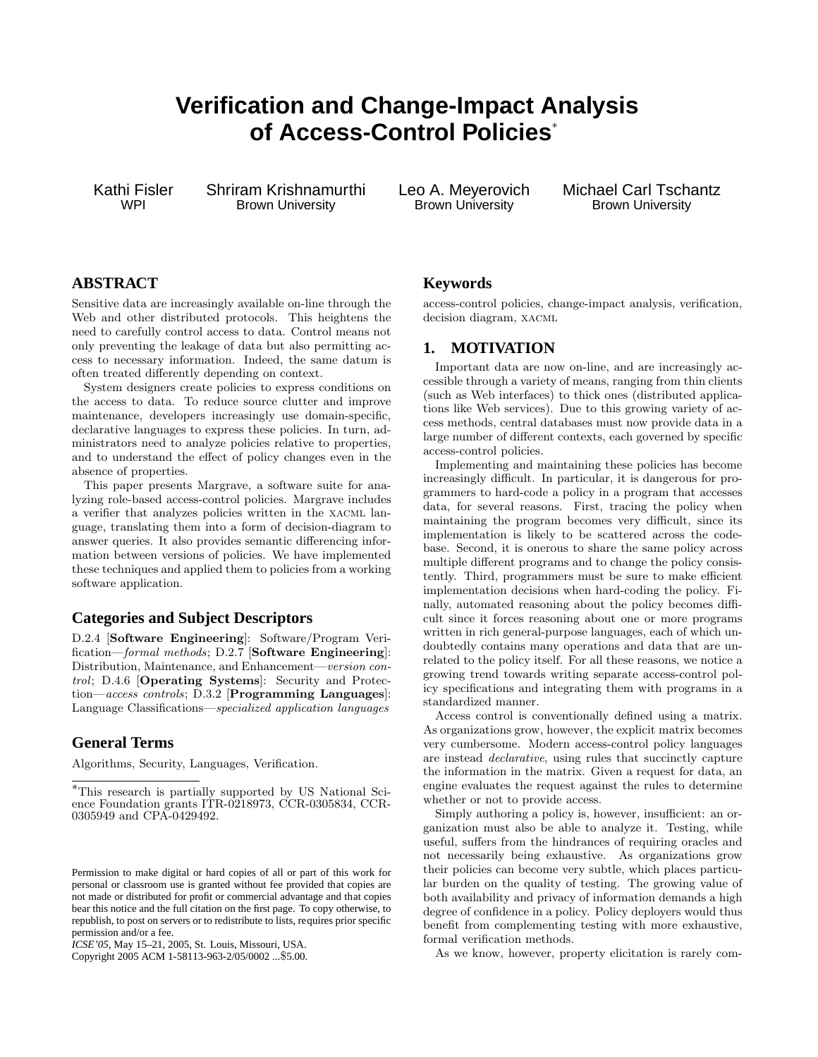# **Verification and Change-Impact Analysis of Access-Control Policies**<sup>∗</sup>

Kathi Fisler **WPI** 

Shriram Krishnamurthi Brown University

Leo A. Meyerovich Brown University

Michael Carl Tschantz Brown University

# **ABSTRACT**

Sensitive data are increasingly available on-line through the Web and other distributed protocols. This heightens the need to carefully control access to data. Control means not only preventing the leakage of data but also permitting access to necessary information. Indeed, the same datum is often treated differently depending on context.

System designers create policies to express conditions on the access to data. To reduce source clutter and improve maintenance, developers increasingly use domain-specific, declarative languages to express these policies. In turn, administrators need to analyze policies relative to properties, and to understand the effect of policy changes even in the absence of properties.

This paper presents Margrave, a software suite for analyzing role-based access-control policies. Margrave includes a verifier that analyzes policies written in the xacml language, translating them into a form of decision-diagram to answer queries. It also provides semantic differencing information between versions of policies. We have implemented these techniques and applied them to policies from a working software application.

## **Categories and Subject Descriptors**

D.2.4 [Software Engineering]: Software/Program Verification—formal methods; D.2.7 [Software Engineering]: Distribution, Maintenance, and Enhancement—version control; D.4.6 [Operating Systems]: Security and Protection—access controls; D.3.2 [Programming Languages]: Language Classifications—specialized application languages

# **General Terms**

Algorithms, Security, Languages, Verification.

Copyright 2005 ACM 1-58113-963-2/05/0002 ...\$5.00.

# **Keywords**

access-control policies, change-impact analysis, verification, decision diagram, xacml

# **1. MOTIVATION**

Important data are now on-line, and are increasingly accessible through a variety of means, ranging from thin clients (such as Web interfaces) to thick ones (distributed applications like Web services). Due to this growing variety of access methods, central databases must now provide data in a large number of different contexts, each governed by specific access-control policies.

Implementing and maintaining these policies has become increasingly difficult. In particular, it is dangerous for programmers to hard-code a policy in a program that accesses data, for several reasons. First, tracing the policy when maintaining the program becomes very difficult, since its implementation is likely to be scattered across the codebase. Second, it is onerous to share the same policy across multiple different programs and to change the policy consistently. Third, programmers must be sure to make efficient implementation decisions when hard-coding the policy. Finally, automated reasoning about the policy becomes difficult since it forces reasoning about one or more programs written in rich general-purpose languages, each of which undoubtedly contains many operations and data that are unrelated to the policy itself. For all these reasons, we notice a growing trend towards writing separate access-control policy specifications and integrating them with programs in a standardized manner.

Access control is conventionally defined using a matrix. As organizations grow, however, the explicit matrix becomes very cumbersome. Modern access-control policy languages are instead declarative, using rules that succinctly capture the information in the matrix. Given a request for data, an engine evaluates the request against the rules to determine whether or not to provide access.

Simply authoring a policy is, however, insufficient: an organization must also be able to analyze it. Testing, while useful, suffers from the hindrances of requiring oracles and not necessarily being exhaustive. As organizations grow their policies can become very subtle, which places particular burden on the quality of testing. The growing value of both availability and privacy of information demands a high degree of confidence in a policy. Policy deployers would thus benefit from complementing testing with more exhaustive, formal verification methods.

As we know, however, property elicitation is rarely com-

<sup>∗</sup>This research is partially supported by US National Science Foundation grants ITR-0218973, CCR-0305834, CCR-0305949 and CPA-0429492.

Permission to make digital or hard copies of all or part of this work for personal or classroom use is granted without fee provided that copies are not made or distributed for profit or commercial advantage and that copies bear this notice and the full citation on the first page. To copy otherwise, to republish, to post on servers or to redistribute to lists, requires prior specific permission and/or a fee.

*ICSE'05,* May 15–21, 2005, St. Louis, Missouri, USA.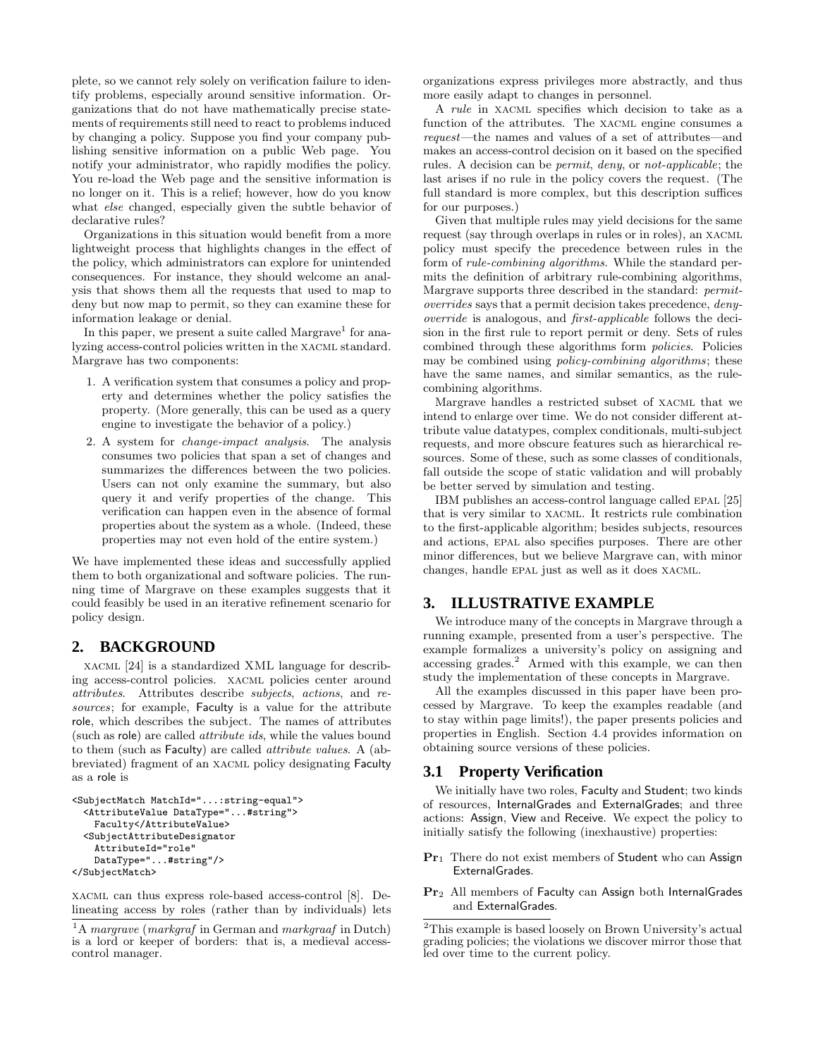plete, so we cannot rely solely on verification failure to identify problems, especially around sensitive information. Organizations that do not have mathematically precise statements of requirements still need to react to problems induced by changing a policy. Suppose you find your company publishing sensitive information on a public Web page. You notify your administrator, who rapidly modifies the policy. You re-load the Web page and the sensitive information is no longer on it. This is a relief; however, how do you know what *else* changed, especially given the subtle behavior of declarative rules?

Organizations in this situation would benefit from a more lightweight process that highlights changes in the effect of the policy, which administrators can explore for unintended consequences. For instance, they should welcome an analysis that shows them all the requests that used to map to deny but now map to permit, so they can examine these for information leakage or denial.

In this paper, we present a suite called Margrave<sup>1</sup> for analyzing access-control policies written in the xacml standard. Margrave has two components:

- 1. A verification system that consumes a policy and property and determines whether the policy satisfies the property. (More generally, this can be used as a query engine to investigate the behavior of a policy.)
- 2. A system for change-impact analysis. The analysis consumes two policies that span a set of changes and summarizes the differences between the two policies. Users can not only examine the summary, but also query it and verify properties of the change. This verification can happen even in the absence of formal properties about the system as a whole. (Indeed, these properties may not even hold of the entire system.)

We have implemented these ideas and successfully applied them to both organizational and software policies. The running time of Margrave on these examples suggests that it could feasibly be used in an iterative refinement scenario for policy design.

# **2. BACKGROUND**

xacml [24] is a standardized XML language for describing access-control policies. xacml policies center around attributes. Attributes describe subjects, actions, and resources; for example, Faculty is a value for the attribute role, which describes the subject. The names of attributes (such as role) are called attribute ids, while the values bound to them (such as Faculty) are called attribute values. A (abbreviated) fragment of an xacml policy designating Faculty as a role is

```
<SubjectMatch MatchId="...:string-equal">
  <AttributeValue DataType="...#string">
    Faculty</AttributeValue>
  <SubjectAttributeDesignator
    AttributeId="role"
    DataType="...#string"/>
</SubjectMatch>
```
xacml can thus express role-based access-control [8]. Delineating access by roles (rather than by individuals) lets organizations express privileges more abstractly, and thus more easily adapt to changes in personnel.

A rule in xacml specifies which decision to take as a function of the attributes. The XACML engine consumes a request—the names and values of a set of attributes—and makes an access-control decision on it based on the specified rules. A decision can be permit, deny, or not-applicable; the last arises if no rule in the policy covers the request. (The full standard is more complex, but this description suffices for our purposes.)

Given that multiple rules may yield decisions for the same request (say through overlaps in rules or in roles), an xacml policy must specify the precedence between rules in the form of rule-combining algorithms. While the standard permits the definition of arbitrary rule-combining algorithms, Margrave supports three described in the standard: permitoverrides says that a permit decision takes precedence, denyoverride is analogous, and first-applicable follows the decision in the first rule to report permit or deny. Sets of rules combined through these algorithms form policies. Policies may be combined using policy-combining algorithms; these have the same names, and similar semantics, as the rulecombining algorithms.

Margrave handles a restricted subset of xacml that we intend to enlarge over time. We do not consider different attribute value datatypes, complex conditionals, multi-subject requests, and more obscure features such as hierarchical resources. Some of these, such as some classes of conditionals, fall outside the scope of static validation and will probably be better served by simulation and testing.

IBM publishes an access-control language called epal [25] that is very similar to xacml. It restricts rule combination to the first-applicable algorithm; besides subjects, resources and actions, epal also specifies purposes. There are other minor differences, but we believe Margrave can, with minor changes, handle epal just as well as it does xacml.

# **3. ILLUSTRATIVE EXAMPLE**

We introduce many of the concepts in Margrave through a running example, presented from a user's perspective. The example formalizes a university's policy on assigning and accessing grades.<sup>2</sup> Armed with this example, we can then study the implementation of these concepts in Margrave.

All the examples discussed in this paper have been processed by Margrave. To keep the examples readable (and to stay within page limits!), the paper presents policies and properties in English. Section 4.4 provides information on obtaining source versions of these policies.

# **3.1 Property Verification**

We initially have two roles, Faculty and Student; two kinds of resources, InternalGrades and ExternalGrades; and three actions: Assign, View and Receive. We expect the policy to initially satisfy the following (inexhaustive) properties:

- $Pr_1$  There do not exist members of Student who can Assign ExternalGrades.
- Pr<sub>2</sub> All members of Faculty can Assign both InternalGrades and ExternalGrades.

 $1A$  margrave (markgraf in German and markgraaf in Dutch) is a lord or keeper of borders: that is, a medieval accesscontrol manager.

 $2$ This example is based loosely on Brown University's actual grading policies; the violations we discover mirror those that led over time to the current policy.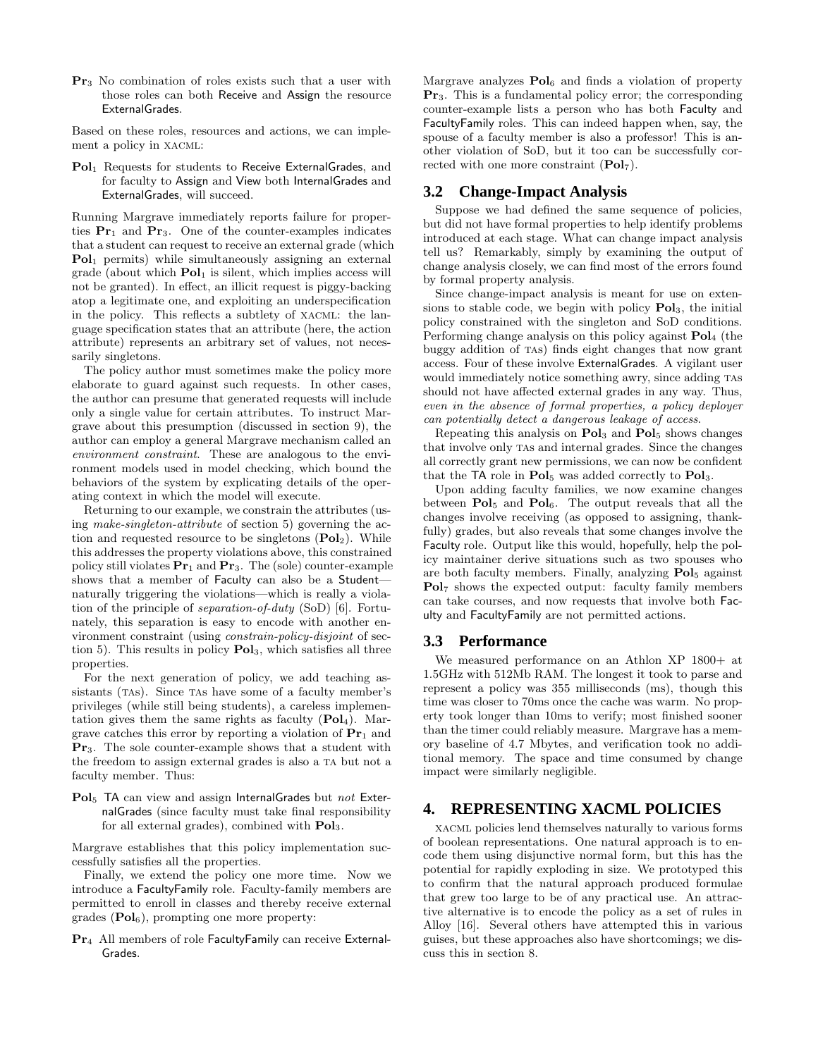Pr<sup>3</sup> No combination of roles exists such that a user with those roles can both Receive and Assign the resource ExternalGrades.

Based on these roles, resources and actions, we can implement a policy in xacml:

Pol<sub>1</sub> Requests for students to Receive ExternalGrades, and for faculty to Assign and View both InternalGrades and ExternalGrades, will succeed.

Running Margrave immediately reports failure for properties  $Pr_1$  and  $Pr_3$ . One of the counter-examples indicates that a student can request to receive an external grade (which Pol<sub>1</sub> permits) while simultaneously assigning an external grade (about which  $Pol<sub>1</sub>$  is silent, which implies access will not be granted). In effect, an illicit request is piggy-backing atop a legitimate one, and exploiting an underspecification in the policy. This reflects a subtlety of xacml: the language specification states that an attribute (here, the action attribute) represents an arbitrary set of values, not necessarily singletons.

The policy author must sometimes make the policy more elaborate to guard against such requests. In other cases, the author can presume that generated requests will include only a single value for certain attributes. To instruct Margrave about this presumption (discussed in section 9), the author can employ a general Margrave mechanism called an environment constraint. These are analogous to the environment models used in model checking, which bound the behaviors of the system by explicating details of the operating context in which the model will execute.

Returning to our example, we constrain the attributes (using make-singleton-attribute of section 5) governing the action and requested resource to be singletons  $(Pol<sub>2</sub>)$ . While this addresses the property violations above, this constrained policy still violates  $Pr_1$  and  $Pr_3$ . The (sole) counter-example shows that a member of Faculty can also be a Student naturally triggering the violations—which is really a violation of the principle of separation-of-duty (SoD) [6]. Fortunately, this separation is easy to encode with another environment constraint (using constrain-policy-disjoint of section 5). This results in policy  $\text{Pol}_3$ , which satisfies all three properties.

For the next generation of policy, we add teaching assistants (TAs). Since TAs have some of a faculty member's privileges (while still being students), a careless implementation gives them the same rights as faculty  $(Pol<sub>4</sub>)$ . Margrave catches this error by reporting a violation of  $Pr_1$  and Pr3. The sole counter-example shows that a student with the freedom to assign external grades is also a TA but not a faculty member. Thus:

Pol<sub>5</sub> TA can view and assign InternalGrades but not ExternalGrades (since faculty must take final responsibility for all external grades), combined with  $\text{Pol}_3$ .

Margrave establishes that this policy implementation successfully satisfies all the properties.

Finally, we extend the policy one more time. Now we introduce a FacultyFamily role. Faculty-family members are permitted to enroll in classes and thereby receive external grades  $(Pol_6)$ , prompting one more property:

Pr<sup>4</sup> All members of role FacultyFamily can receive External-Grades.

Margrave analyzes  $Pol_6$  and finds a violation of property Pr3. This is a fundamental policy error; the corresponding counter-example lists a person who has both Faculty and FacultyFamily roles. This can indeed happen when, say, the spouse of a faculty member is also a professor! This is another violation of SoD, but it too can be successfully corrected with one more constraint  $(Pol<sub>7</sub>)$ .

## **3.2 Change-Impact Analysis**

Suppose we had defined the same sequence of policies, but did not have formal properties to help identify problems introduced at each stage. What can change impact analysis tell us? Remarkably, simply by examining the output of change analysis closely, we can find most of the errors found by formal property analysis.

Since change-impact analysis is meant for use on extensions to stable code, we begin with policy  $\text{Pol}_3$ , the initial policy constrained with the singleton and SoD conditions. Performing change analysis on this policy against Pol<sup>4</sup> (the buggy addition of tas) finds eight changes that now grant access. Four of these involve ExternalGrades. A vigilant user would immediately notice something awry, since adding TAS should not have affected external grades in any way. Thus, even in the absence of formal properties, a policy deployer can potentially detect a dangerous leakage of access.

Repeating this analysis on  $\text{Pol}_3$  and  $\text{Pol}_5$  shows changes that involve only tas and internal grades. Since the changes all correctly grant new permissions, we can now be confident that the  $TA$  role in  $Pol_5$  was added correctly to  $Pol_3$ .

Upon adding faculty families, we now examine changes between  $Pol<sub>5</sub>$  and  $Pol<sub>6</sub>$ . The output reveals that all the changes involve receiving (as opposed to assigning, thankfully) grades, but also reveals that some changes involve the Faculty role. Output like this would, hopefully, help the policy maintainer derive situations such as two spouses who are both faculty members. Finally, analyzing Pol<sub>5</sub> against Pol<sup>7</sup> shows the expected output: faculty family members can take courses, and now requests that involve both Faculty and FacultyFamily are not permitted actions.

## **3.3 Performance**

We measured performance on an Athlon XP 1800+ at 1.5GHz with 512Mb RAM. The longest it took to parse and represent a policy was 355 milliseconds (ms), though this time was closer to 70ms once the cache was warm. No property took longer than 10ms to verify; most finished sooner than the timer could reliably measure. Margrave has a memory baseline of 4.7 Mbytes, and verification took no additional memory. The space and time consumed by change impact were similarly negligible.

# **4. REPRESENTING XACML POLICIES**

xacml policies lend themselves naturally to various forms of boolean representations. One natural approach is to encode them using disjunctive normal form, but this has the potential for rapidly exploding in size. We prototyped this to confirm that the natural approach produced formulae that grew too large to be of any practical use. An attractive alternative is to encode the policy as a set of rules in Alloy [16]. Several others have attempted this in various guises, but these approaches also have shortcomings; we discuss this in section 8.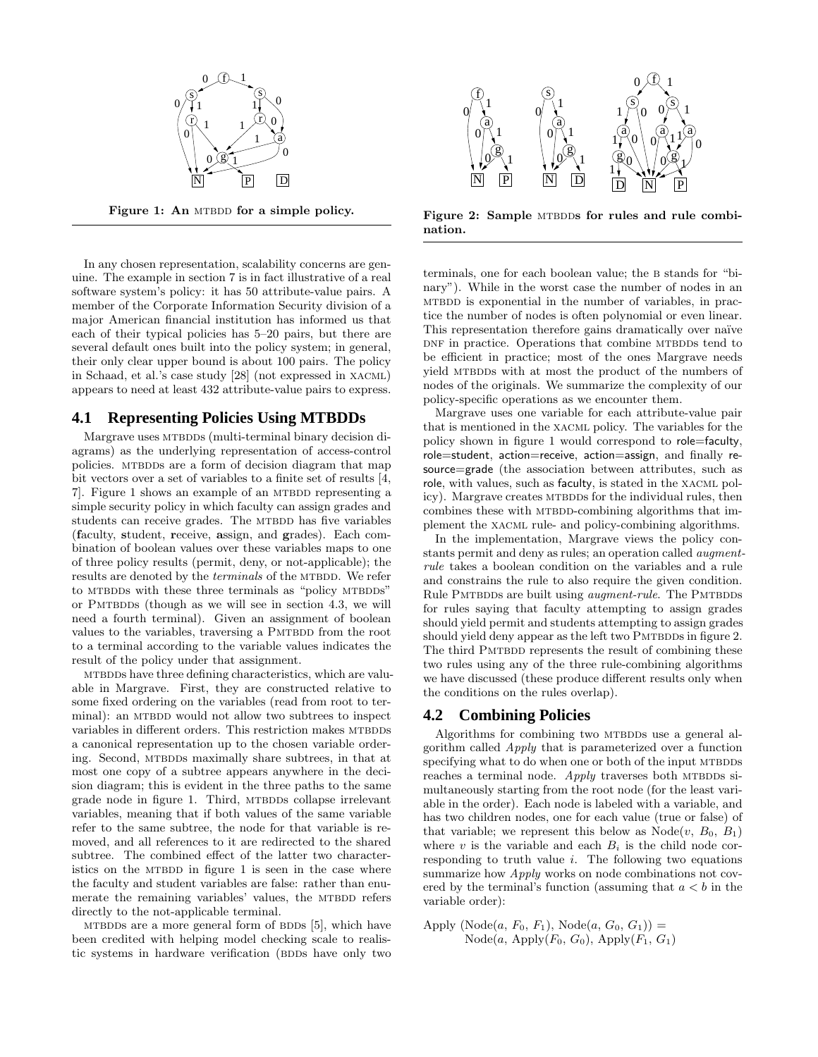

Figure 1: An MTBDD for a simple policy.

In any chosen representation, scalability concerns are genuine. The example in section 7 is in fact illustrative of a real software system's policy: it has 50 attribute-value pairs. A member of the Corporate Information Security division of a major American financial institution has informed us that each of their typical policies has 5–20 pairs, but there are several default ones built into the policy system; in general, their only clear upper bound is about 100 pairs. The policy in Schaad, et al.'s case study [28] (not expressed in xacml) appears to need at least 432 attribute-value pairs to express.

# **4.1 Representing Policies Using MTBDDs**

Margrave uses MTBDDs (multi-terminal binary decision diagrams) as the underlying representation of access-control policies. MTBDDs are a form of decision diagram that map bit vectors over a set of variables to a finite set of results [4, 7. Figure 1 shows an example of an MTBDD representing a simple security policy in which faculty can assign grades and students can receive grades. The MTBDD has five variables (faculty, student, receive, assign, and grades). Each combination of boolean values over these variables maps to one of three policy results (permit, deny, or not-applicable); the results are denoted by the *terminals* of the MTBDD. We refer to MTBDDs with these three terminals as "policy MTBDDs" or PMTBDDs (though as we will see in section 4.3, we will need a fourth terminal). Given an assignment of boolean values to the variables, traversing a PMTBDD from the root to a terminal according to the variable values indicates the result of the policy under that assignment.

MTBDDs have three defining characteristics, which are valuable in Margrave. First, they are constructed relative to some fixed ordering on the variables (read from root to terminal): an MTBDD would not allow two subtrees to inspect variables in different orders. This restriction makes MTBDDs a canonical representation up to the chosen variable ordering. Second, MTBDDs maximally share subtrees, in that at most one copy of a subtree appears anywhere in the decision diagram; this is evident in the three paths to the same grade node in figure 1. Third, MTBDDs collapse irrelevant variables, meaning that if both values of the same variable refer to the same subtree, the node for that variable is removed, and all references to it are redirected to the shared subtree. The combined effect of the latter two characteristics on the MTBDD in figure 1 is seen in the case where the faculty and student variables are false: rather than enumerate the remaining variables' values, the MTBDD refers directly to the not-applicable terminal.

 $MTBDDs$  are a more general form of BDDs  $[5]$ , which have been credited with helping model checking scale to realistic systems in hardware verification (BDDs have only two



Figure 2: Sample MTBDDs for rules and rule combination.

terminals, one for each boolean value; the B stands for "binary"). While in the worst case the number of nodes in an MTBDD is exponential in the number of variables, in practice the number of nodes is often polynomial or even linear. This representation therefore gains dramatically over naïve DNF in practice. Operations that combine MTBDDs tend to be efficient in practice; most of the ones Margrave needs yield MTBDDs with at most the product of the numbers of nodes of the originals. We summarize the complexity of our policy-specific operations as we encounter them.

Margrave uses one variable for each attribute-value pair that is mentioned in the xacml policy. The variables for the policy shown in figure 1 would correspond to role=faculty, role=student, action=receive, action=assign, and finally resource=grade (the association between attributes, such as role, with values, such as faculty, is stated in the xacml policy). Margrave creates MTBDDs for the individual rules, then combines these with MTBDD-combining algorithms that implement the xacml rule- and policy-combining algorithms.

In the implementation, Margrave views the policy constants permit and deny as rules; an operation called augmentrule takes a boolean condition on the variables and a rule and constrains the rule to also require the given condition. Rule PMTBDDs are built using *augment-rule*. The PMTBDDs for rules saying that faculty attempting to assign grades should yield permit and students attempting to assign grades should yield deny appear as the left two PMTBDDs in figure 2. The third PMTBDD represents the result of combining these two rules using any of the three rule-combining algorithms we have discussed (these produce different results only when the conditions on the rules overlap).

# **4.2 Combining Policies**

Algorithms for combining two MTBDDs use a general algorithm called Apply that is parameterized over a function specifying what to do when one or both of the input MTBDDs reaches a terminal node. Apply traverses both MTBDDs simultaneously starting from the root node (for the least variable in the order). Each node is labeled with a variable, and has two children nodes, one for each value (true or false) of that variable; we represent this below as  $Node(v, B_0, B_1)$ where v is the variable and each  $B_i$  is the child node corresponding to truth value  $i$ . The following two equations summarize how *Apply* works on node combinations not covered by the terminal's function (assuming that  $a < b$  in the variable order):

Apply  $(Node(a, F_0, F_1), Node(a, G_0, G_1)) =$ Node(a, Apply( $F_0$ ,  $G_0$ ), Apply( $F_1$ ,  $G_1$ )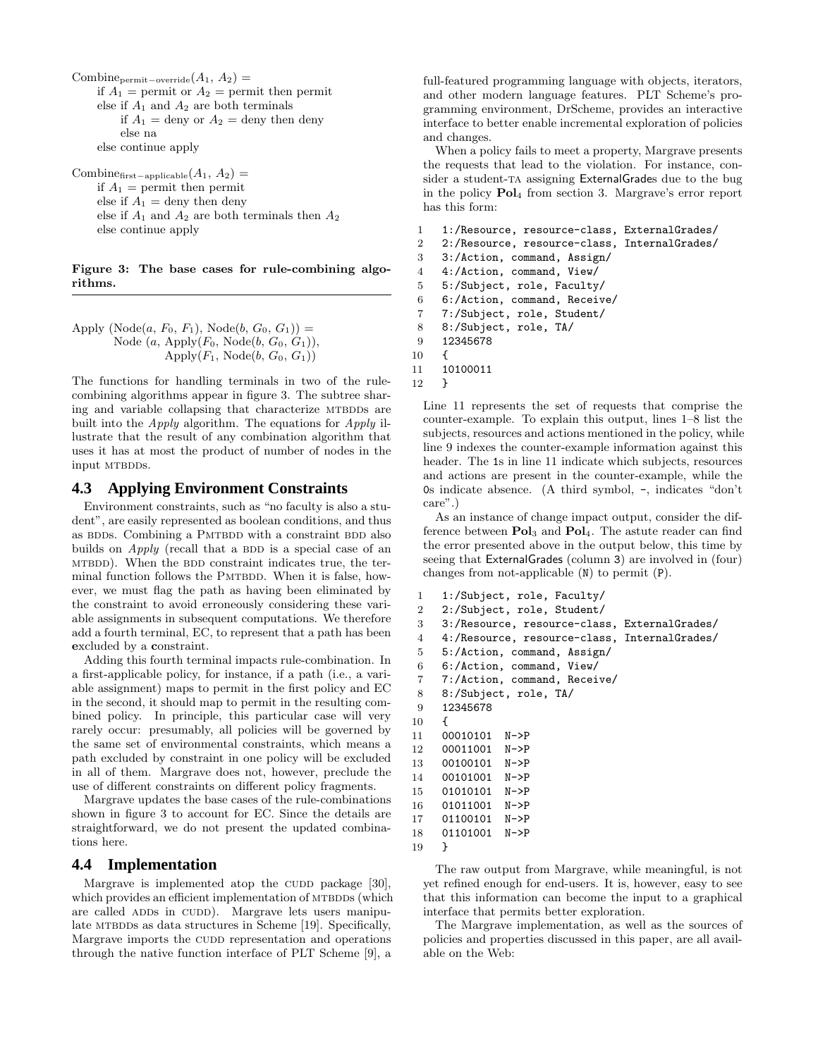Combine $permit$ –override $(A_1, A_2)$ = if  $A_1$  = permit or  $A_2$  = permit then permit else if  $A_1$  and  $A_2$  are both terminals if  $A_1 =$  deny or  $A_2 =$  deny then deny else na else continue apply

Combine $f_{first-applied}$ le $(A_1, A_2)$  = if  $A_1$  = permit then permit else if  $A_1 =$  deny then deny else if  $A_1$  and  $A_2$  are both terminals then  $A_2$ else continue apply

Figure 3: The base cases for rule-combining algorithms.

Apply  $(Node(a, F_0, F_1), Node(b, G_0, G_1)) =$ Node  $(a, \mathrm{Apply}(F_0, \mathrm{Node}(b, G_0, G_1)),$ Apply $(F_1, \text{Node}(b, G_0, G_1))$ 

The functions for handling terminals in two of the rulecombining algorithms appear in figure 3. The subtree sharing and variable collapsing that characterize MTBDDs are built into the Apply algorithm. The equations for Apply illustrate that the result of any combination algorithm that uses it has at most the product of number of nodes in the input MTBDDs.

#### **4.3 Applying Environment Constraints**

Environment constraints, such as "no faculty is also a student", are easily represented as boolean conditions, and thus as BDDs. Combining a PMTBDD with a constraint BDD also builds on  $Apply$  (recall that a BDD is a special case of an MTBDD). When the BDD constraint indicates true, the terminal function follows the PMTBDD. When it is false, however, we must flag the path as having been eliminated by the constraint to avoid erroneously considering these variable assignments in subsequent computations. We therefore add a fourth terminal, EC, to represent that a path has been excluded by a constraint.

Adding this fourth terminal impacts rule-combination. In a first-applicable policy, for instance, if a path (i.e., a variable assignment) maps to permit in the first policy and EC in the second, it should map to permit in the resulting combined policy. In principle, this particular case will very rarely occur: presumably, all policies will be governed by the same set of environmental constraints, which means a path excluded by constraint in one policy will be excluded in all of them. Margrave does not, however, preclude the use of different constraints on different policy fragments.

Margrave updates the base cases of the rule-combinations shown in figure 3 to account for EC. Since the details are straightforward, we do not present the updated combinations here.

# **4.4 Implementation**

Margrave is implemented atop the CUDD package  $[30]$ , which provides an efficient implementation of MTBDDs (which are called ADDs in CUDD). Margrave lets users manipulate MTBDDs as data structures in Scheme [19]. Specifically, Margrave imports the CUDD representation and operations through the native function interface of PLT Scheme [9], a

full-featured programming language with objects, iterators, and other modern language features. PLT Scheme's programming environment, DrScheme, provides an interactive interface to better enable incremental exploration of policies and changes.

When a policy fails to meet a property, Margrave presents the requests that lead to the violation. For instance, consider a student-TA assigning ExternalGrades due to the bug in the policy Pol<sup>4</sup> from section 3. Margrave's error report has this form:

```
1 1:/Resource, resource-class, ExternalGrades/
```
- 2 2:/Resource, resource-class, InternalGrades/
- 3 3:/Action, command, Assign/
- 4 4:/Action, command, View/

```
5 5:/Subject, role, Faculty/
```

```
6 6:/Action, command, Receive/
```

```
7 7:/Subject, role, Student/
```

```
8 8:/Subject, role, TA/
```

```
9 12345678
```

```
10 {
```

```
11 10100011
```

```
12 }
```
Line 11 represents the set of requests that comprise the counter-example. To explain this output, lines 1–8 list the subjects, resources and actions mentioned in the policy, while line 9 indexes the counter-example information against this header. The 1s in line 11 indicate which subjects, resources and actions are present in the counter-example, while the 0s indicate absence. (A third symbol, -, indicates "don't care".)

As an instance of change impact output, consider the difference between  $\text{Pol}_3$  and  $\text{Pol}_4$ . The astute reader can find the error presented above in the output below, this time by seeing that ExternalGrades (column 3) are involved in (four) changes from not-applicable (N) to permit (P).

```
1 1:/Subject, role, Faculty/
2 2:/Subject, role, Student/
3 3:/Resource, resource-class, ExternalGrades/
4 4:/Resource, resource-class, InternalGrades/
5 5:/Action, command, Assign/
6 6:/Action, command, View/
7 7:/Action, command, Receive/
8 8:/Subject, role, TA/
9 12345678
10 {
11 00010101 N->P
12 00011001 N->P
13 00100101 N->P
14 00101001 N->P
15 01010101 N->P
16 01011001 N->P
17 01100101 N->P
18 01101001 N->P
19 }
```
The raw output from Margrave, while meaningful, is not yet refined enough for end-users. It is, however, easy to see that this information can become the input to a graphical interface that permits better exploration.

The Margrave implementation, as well as the sources of policies and properties discussed in this paper, are all available on the Web: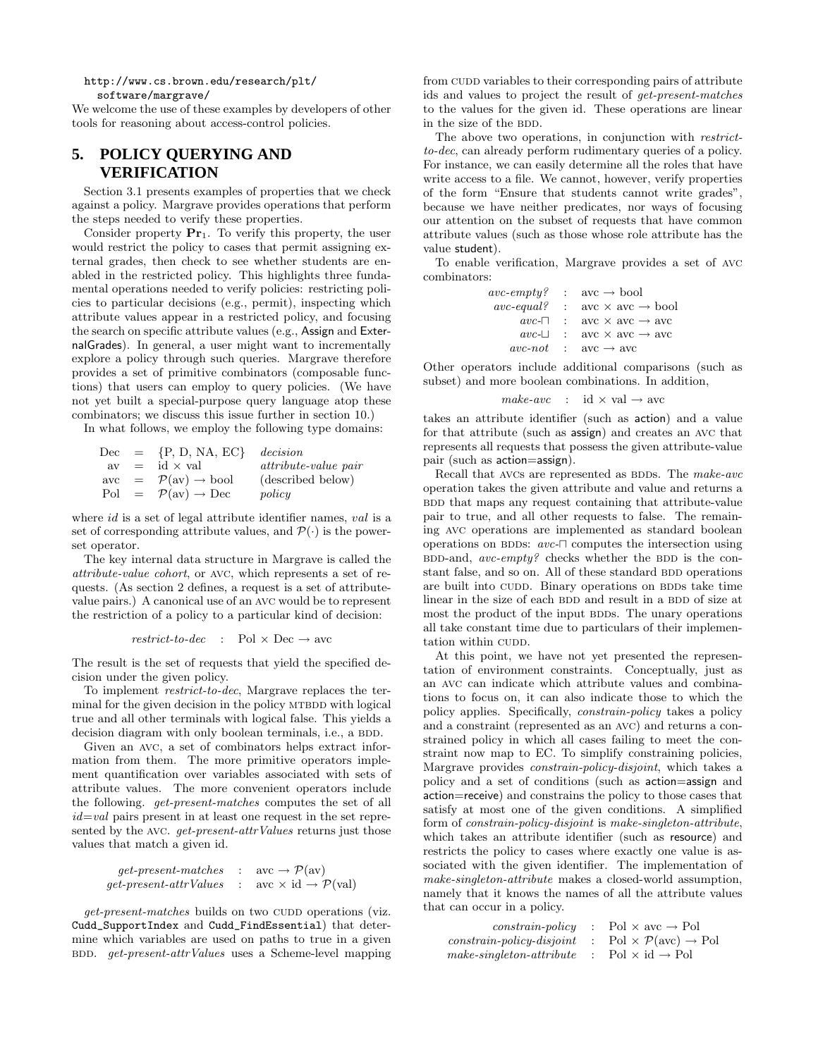#### http://www.cs.brown.edu/research/plt/ software/margrave/

We welcome the use of these examples by developers of other tools for reasoning about access-control policies.

# **5. POLICY QUERYING AND VERIFICATION**

Section 3.1 presents examples of properties that we check against a policy. Margrave provides operations that perform the steps needed to verify these properties.

Consider property  $Pr_1$ . To verify this property, the user would restrict the policy to cases that permit assigning external grades, then check to see whether students are enabled in the restricted policy. This highlights three fundamental operations needed to verify policies: restricting policies to particular decisions (e.g., permit), inspecting which attribute values appear in a restricted policy, and focusing the search on specific attribute values (e.g., Assign and ExternalGrades). In general, a user might want to incrementally explore a policy through such queries. Margrave therefore provides a set of primitive combinators (composable functions) that users can employ to query policies. (We have not yet built a special-purpose query language atop these combinators; we discuss this issue further in section 10.)

In what follows, we employ the following type domains:

| Dec                  | $= \{P, D, NA, EC\}$                                 | decision                    |
|----------------------|------------------------------------------------------|-----------------------------|
| av                   | $=$ id $\times$ val                                  | <i>attribute-value pair</i> |
| $\operatorname{avc}$ | $=$ $\mathcal{P}(\text{av}) \rightarrow \text{bool}$ | (described below)           |
| Pol                  | $=$ $\mathcal{P}(\text{av}) \rightarrow \text{Dec}$  | policy                      |

where *id* is a set of legal attribute identifier names, *val* is a set of corresponding attribute values, and  $\mathcal{P}(\cdot)$  is the powerset operator.

The key internal data structure in Margrave is called the attribute-value cohort, or avc, which represents a set of requests. (As section 2 defines, a request is a set of attributevalue pairs.) A canonical use of an avc would be to represent the restriction of a policy to a particular kind of decision:

 $\textit{restrict-to-dec} \quad : \quad \text{Pol} \times \text{Dec} \rightarrow \text{ave}$ 

The result is the set of requests that yield the specified decision under the given policy.

To implement restrict-to-dec, Margrave replaces the terminal for the given decision in the policy MTBDD with logical true and all other terminals with logical false. This yields a decision diagram with only boolean terminals, i.e., a BDD.

Given an avc, a set of combinators helps extract information from them. The more primitive operators implement quantification over variables associated with sets of attribute values. The more convenient operators include the following. get-present-matches computes the set of all  $id=val$  pairs present in at least one request in the set represented by the AVC. get-present-attrValues returns just those values that match a given id.

| $qet\text{-}present\text{-}matches$    | $\text{avc} \rightarrow \mathcal{P}(\text{av})$  |
|----------------------------------------|--------------------------------------------------|
| $get\text{-}present\text{-}attrValues$ | avc $\times$ id $\rightarrow$ $\mathcal{P}(val)$ |

get-present-matches builds on two CUDD operations (viz. Cudd\_SupportIndex and Cudd\_FindEssential) that determine which variables are used on paths to true in a given bdd. get-present-attrValues uses a Scheme-level mapping from CUDD variables to their corresponding pairs of attribute ids and values to project the result of get-present-matches to the values for the given id. These operations are linear in the size of the BDD.

The above two operations, in conjunction with restrictto-dec, can already perform rudimentary queries of a policy. For instance, we can easily determine all the roles that have write access to a file. We cannot, however, verify properties of the form "Ensure that students cannot write grades", because we have neither predicates, nor ways of focusing our attention on the subset of requests that have common attribute values (such as those whose role attribute has the value student).

To enable verification, Margrave provides a set of avc combinators:

|              |                | $\textit{avc-empty}$ : $\textit{avc} \rightarrow \textit{bool}$                      |
|--------------|----------------|--------------------------------------------------------------------------------------|
|              |                | $\textit{avc-equal?}$ : $\textit{avc} \times \textit{avc} \rightarrow \textit{bool}$ |
| $avc-\Box$   | $\mathbb{R}^n$ | $\text{avc} \times \text{avc} \rightarrow \text{avc}$                                |
| $avc-\Box$   | $\mathbb{R}^n$ | $\text{avc} \times \text{avc} \rightarrow \text{avc}$                                |
| $avc$ -not : |                | $\text{avc} \rightarrow \text{avc}$                                                  |

Other operators include additional comparisons (such as subset) and more boolean combinations. In addition,

$$
make\text{-}avc \quad : \quad id \times val \to \text{avc}
$$

takes an attribute identifier (such as action) and a value for that attribute (such as assign) and creates an avc that represents all requests that possess the given attribute-value pair (such as action=assign).

Recall that AVCs are represented as BDDs. The  $make-arc$ operation takes the given attribute and value and returns a BDD that maps any request containing that attribute-value pair to true, and all other requests to false. The remaining avc operations are implemented as standard boolean operations on BDDs:  $\mathit{avc}\text{-}\square$  computes the intersection using  $BDD-and$ ,  $avc-empty$ ? checks whether the BDD is the constant false, and so on. All of these standard BDD operations are built into CUDD. Binary operations on BDDs take time linear in the size of each BDD and result in a BDD of size at most the product of the input BDDs. The unary operations all take constant time due to particulars of their implementation within CUDD.

At this point, we have not yet presented the representation of environment constraints. Conceptually, just as an avc can indicate which attribute values and combinations to focus on, it can also indicate those to which the policy applies. Specifically, constrain-policy takes a policy and a constraint (represented as an avc) and returns a constrained policy in which all cases failing to meet the constraint now map to EC. To simplify constraining policies, Margrave provides constrain-policy-disjoint, which takes a policy and a set of conditions (such as action=assign and action=receive) and constrains the policy to those cases that satisfy at most one of the given conditions. A simplified form of constrain-policy-disjoint is make-singleton-attribute, which takes an attribute identifier (such as resource) and restricts the policy to cases where exactly one value is associated with the given identifier. The implementation of make-singleton-attribute makes a closed-world assumption, namely that it knows the names of all the attribute values that can occur in a policy.

| $constraint-policy$                      | $Pol \times avc \rightarrow Pol$              |
|------------------------------------------|-----------------------------------------------|
| $constraint-policy-disjoint$ :           | $Pol \times \mathcal{P}(avc) \rightarrow Pol$ |
| $make\text{-}singleton\text{-}attribute$ | $Pol \times id \rightarrow Pol$               |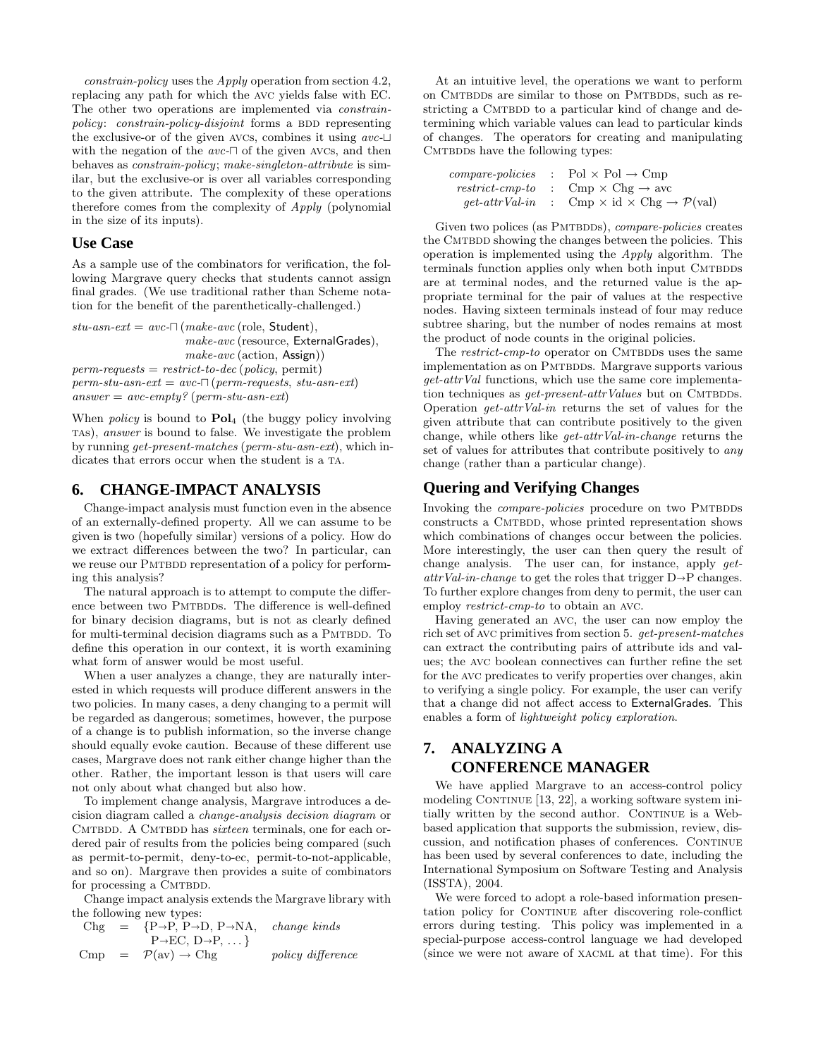constrain-policy uses the Apply operation from section 4.2, replacing any path for which the avc yields false with EC. The other two operations are implemented via constrainpolicy: constrain-policy-disjoint forms a BDD representing the exclusive-or of the given AVCs, combines it using  $\mathit{avc}\text{-}\square$ with the negation of the  $\alpha v c$ - $\Box$  of the given AVCs, and then behaves as constrain-policy; make-singleton-attribute is similar, but the exclusive-or is over all variables corresponding to the given attribute. The complexity of these operations therefore comes from the complexity of Apply (polynomial in the size of its inputs).

## **Use Case**

As a sample use of the combinators for verification, the following Margrave query checks that students cannot assign final grades. (We use traditional rather than Scheme notation for the benefit of the parenthetically-challenged.)

 $stu-asn-ext = avc-\prod (make-avc$  (role, Student), make-avc (resource, ExternalGrades),  $make-ave$  (action, Assign))  $perm-requests = restrict-to-dec (policy, permit)$  $perm-stu-asnext = avc-\Box (perm-reguestas, stu-asnext)$  $answer = \textit{avc-empty}$ ? (perm-stu-asn-ext)

When *policy* is bound to  $\text{Pol}_4$  (the buggy policy involving tas), answer is bound to false. We investigate the problem by running get-present-matches (perm-stu-asn-ext), which indicates that errors occur when the student is a TA.

# **6. CHANGE-IMPACT ANALYSIS**

Change-impact analysis must function even in the absence of an externally-defined property. All we can assume to be given is two (hopefully similar) versions of a policy. How do we extract differences between the two? In particular, can we reuse our PMTBDD representation of a policy for performing this analysis?

The natural approach is to attempt to compute the difference between two PMTBDDs. The difference is well-defined for binary decision diagrams, but is not as clearly defined for multi-terminal decision diagrams such as a PMTBDD. To define this operation in our context, it is worth examining what form of answer would be most useful.

When a user analyzes a change, they are naturally interested in which requests will produce different answers in the two policies. In many cases, a deny changing to a permit will be regarded as dangerous; sometimes, however, the purpose of a change is to publish information, so the inverse change should equally evoke caution. Because of these different use cases, Margrave does not rank either change higher than the other. Rather, the important lesson is that users will care not only about what changed but also how.

To implement change analysis, Margrave introduces a decision diagram called a change-analysis decision diagram or CMTBDD. A CMTBDD has *sixteen* terminals, one for each ordered pair of results from the policies being compared (such as permit-to-permit, deny-to-ec, permit-to-not-applicable, and so on). Margrave then provides a suite of combinators for processing a CMTBDD.

Change impact analysis extends the Margrave library with the following new types:

| $Chg = \{P \rightarrow P, P \rightarrow D, P \rightarrow NA, \text{ change kinds}$ |
|------------------------------------------------------------------------------------|
| $P \rightarrow EC, D \rightarrow P, \ldots$                                        |
| $Comp = P(av) \rightarrow Chg \text{ policy difference}$                           |

At an intuitive level, the operations we want to perform on CMTBDDs are similar to those on PMTBDDs, such as restricting a CMTBDD to a particular kind of change and determining which variable values can lead to particular kinds of changes. The operators for creating and manipulating CMTBDDs have the following types:

|  | <i>compare-policies</i> : $Pol \times Pol \rightarrow Comp$                      |
|--|----------------------------------------------------------------------------------|
|  | <i>restrict-cmp-to</i> : Cmp $\times$ Chg $\rightarrow$ avc                      |
|  | $get-attrVal-in$ : Cmp $\times$ id $\times$ Chg $\rightarrow$ $\mathcal{P}(val)$ |

Given two polices (as PMTBDDs), *compare-policies* creates the CMTBDD showing the changes between the policies. This operation is implemented using the Apply algorithm. The terminals function applies only when both input CMTBDDs are at terminal nodes, and the returned value is the appropriate terminal for the pair of values at the respective nodes. Having sixteen terminals instead of four may reduce subtree sharing, but the number of nodes remains at most the product of node counts in the original policies.

The *restrict-cmp-to* operator on CMTBDDs uses the same implementation as on PMTBDDs. Margrave supports various get-attrVal functions, which use the same core implementation techniques as *get-present-attrValues* but on CMTBDDs. Operation get-attrVal-in returns the set of values for the given attribute that can contribute positively to the given change, while others like get-attrVal-in-change returns the set of values for attributes that contribute positively to *any* change (rather than a particular change).

# **Quering and Verifying Changes**

Invoking the *compare-policies* procedure on two PMTBDDs constructs a CMTBDD, whose printed representation shows which combinations of changes occur between the policies. More interestingly, the user can then query the result of change analysis. The user can, for instance, apply getattrVal-in-change to get the roles that trigger  $D\rightarrow P$  changes. To further explore changes from deny to permit, the user can employ restrict-cmp-to to obtain an avc.

Having generated an avc, the user can now employ the rich set of avc primitives from section 5. get-present-matches can extract the contributing pairs of attribute ids and values; the avc boolean connectives can further refine the set for the avc predicates to verify properties over changes, akin to verifying a single policy. For example, the user can verify that a change did not affect access to ExternalGrades. This enables a form of lightweight policy exploration.

# **7. ANALYZING A CONFERENCE MANAGER**

We have applied Margrave to an access-control policy modeling CONTINUE  $[13, 22]$ , a working software system initially written by the second author. CONTINUE is a Webbased application that supports the submission, review, discussion, and notification phases of conferences. CONTINUE has been used by several conferences to date, including the International Symposium on Software Testing and Analysis (ISSTA), 2004.

We were forced to adopt a role-based information presentation policy for CONTINUE after discovering role-conflict errors during testing. This policy was implemented in a special-purpose access-control language we had developed (since we were not aware of xacml at that time). For this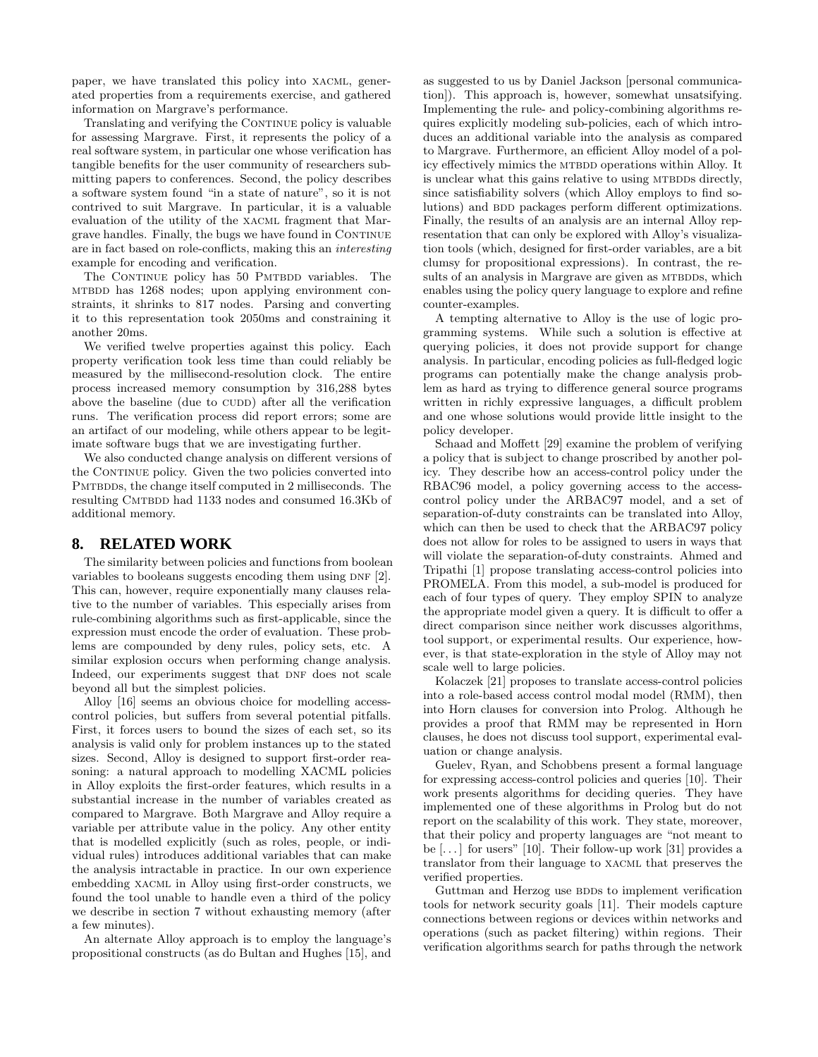paper, we have translated this policy into xacml, generated properties from a requirements exercise, and gathered information on Margrave's performance.

Translating and verifying the CONTINUE policy is valuable for assessing Margrave. First, it represents the policy of a real software system, in particular one whose verification has tangible benefits for the user community of researchers submitting papers to conferences. Second, the policy describes a software system found "in a state of nature", so it is not contrived to suit Margrave. In particular, it is a valuable evaluation of the utility of the xacml fragment that Margrave handles. Finally, the bugs we have found in CONTINUE are in fact based on role-conflicts, making this an interesting example for encoding and verification.

The CONTINUE policy has 50 PMTBDD variables. The MTBDD has 1268 nodes; upon applying environment constraints, it shrinks to 817 nodes. Parsing and converting it to this representation took 2050ms and constraining it another 20ms.

We verified twelve properties against this policy. Each property verification took less time than could reliably be measured by the millisecond-resolution clock. The entire process increased memory consumption by 316,288 bytes above the baseline (due to CUDD) after all the verification runs. The verification process did report errors; some are an artifact of our modeling, while others appear to be legitimate software bugs that we are investigating further.

We also conducted change analysis on different versions of the CONTINUE policy. Given the two policies converted into PMTBDDs, the change itself computed in 2 milliseconds. The resulting CMTBDD had 1133 nodes and consumed 16.3Kb of additional memory.

# **8. RELATED WORK**

The similarity between policies and functions from boolean variables to booleans suggests encoding them using  $DNF$  [2]. This can, however, require exponentially many clauses relative to the number of variables. This especially arises from rule-combining algorithms such as first-applicable, since the expression must encode the order of evaluation. These problems are compounded by deny rules, policy sets, etc. A similar explosion occurs when performing change analysis. Indeed, our experiments suggest that DNF does not scale beyond all but the simplest policies.

Alloy [16] seems an obvious choice for modelling accesscontrol policies, but suffers from several potential pitfalls. First, it forces users to bound the sizes of each set, so its analysis is valid only for problem instances up to the stated sizes. Second, Alloy is designed to support first-order reasoning: a natural approach to modelling XACML policies in Alloy exploits the first-order features, which results in a substantial increase in the number of variables created as compared to Margrave. Both Margrave and Alloy require a variable per attribute value in the policy. Any other entity that is modelled explicitly (such as roles, people, or individual rules) introduces additional variables that can make the analysis intractable in practice. In our own experience embedding xacml in Alloy using first-order constructs, we found the tool unable to handle even a third of the policy we describe in section 7 without exhausting memory (after a few minutes).

An alternate Alloy approach is to employ the language's propositional constructs (as do Bultan and Hughes [15], and as suggested to us by Daniel Jackson [personal communication]). This approach is, however, somewhat unsatsifying. Implementing the rule- and policy-combining algorithms requires explicitly modeling sub-policies, each of which introduces an additional variable into the analysis as compared to Margrave. Furthermore, an efficient Alloy model of a policy effectively mimics the MTBDD operations within Alloy. It is unclear what this gains relative to using MTBDDs directly, since satisfiability solvers (which Alloy employs to find solutions) and BDD packages perform different optimizations. Finally, the results of an analysis are an internal Alloy representation that can only be explored with Alloy's visualization tools (which, designed for first-order variables, are a bit clumsy for propositional expressions). In contrast, the results of an analysis in Margrave are given as MTBDDs, which enables using the policy query language to explore and refine counter-examples.

A tempting alternative to Alloy is the use of logic programming systems. While such a solution is effective at querying policies, it does not provide support for change analysis. In particular, encoding policies as full-fledged logic programs can potentially make the change analysis problem as hard as trying to difference general source programs written in richly expressive languages, a difficult problem and one whose solutions would provide little insight to the policy developer.

Schaad and Moffett [29] examine the problem of verifying a policy that is subject to change proscribed by another policy. They describe how an access-control policy under the RBAC96 model, a policy governing access to the accesscontrol policy under the ARBAC97 model, and a set of separation-of-duty constraints can be translated into Alloy, which can then be used to check that the ARBAC97 policy does not allow for roles to be assigned to users in ways that will violate the separation-of-duty constraints. Ahmed and Tripathi [1] propose translating access-control policies into PROMELA. From this model, a sub-model is produced for each of four types of query. They employ SPIN to analyze the appropriate model given a query. It is difficult to offer a direct comparison since neither work discusses algorithms, tool support, or experimental results. Our experience, however, is that state-exploration in the style of Alloy may not scale well to large policies.

Kolaczek [21] proposes to translate access-control policies into a role-based access control modal model (RMM), then into Horn clauses for conversion into Prolog. Although he provides a proof that RMM may be represented in Horn clauses, he does not discuss tool support, experimental evaluation or change analysis.

Guelev, Ryan, and Schobbens present a formal language for expressing access-control policies and queries [10]. Their work presents algorithms for deciding queries. They have implemented one of these algorithms in Prolog but do not report on the scalability of this work. They state, moreover, that their policy and property languages are "not meant to be  $\left[\ldots\right]$  for users" [10]. Their follow-up work [31] provides a translator from their language to xacml that preserves the verified properties.

Guttman and Herzog use BDDs to implement verification tools for network security goals [11]. Their models capture connections between regions or devices within networks and operations (such as packet filtering) within regions. Their verification algorithms search for paths through the network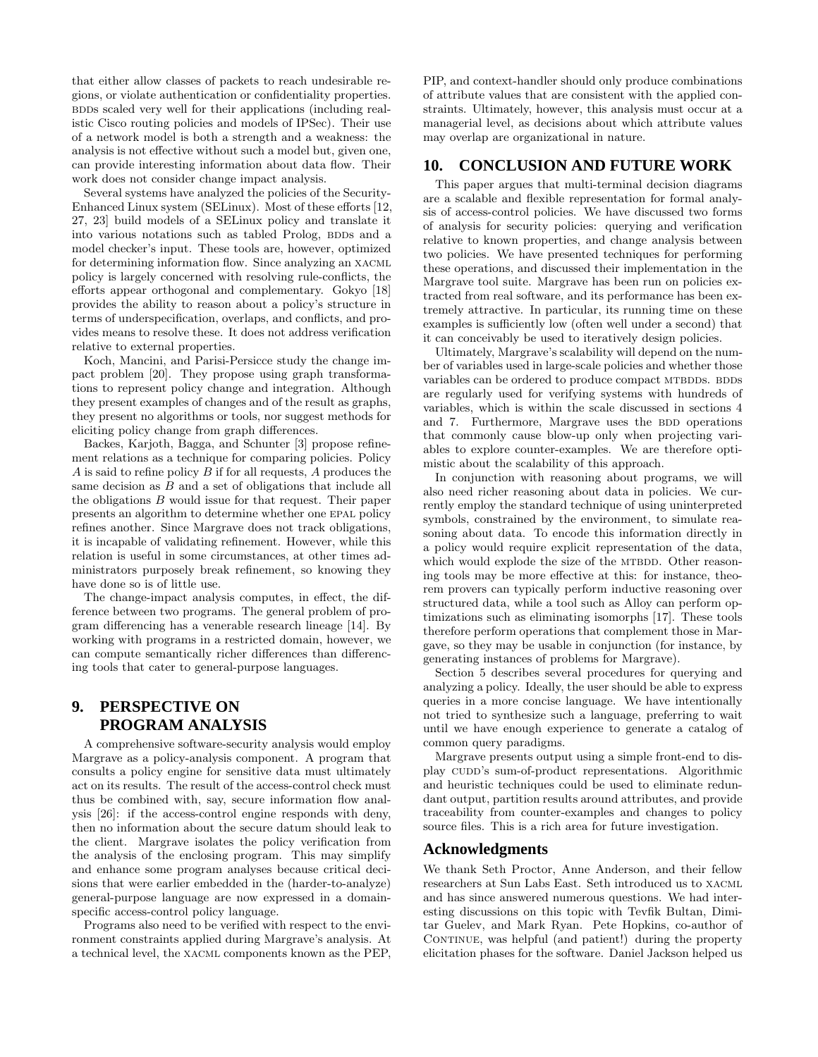that either allow classes of packets to reach undesirable regions, or violate authentication or confidentiality properties. BDDs scaled very well for their applications (including realistic Cisco routing policies and models of IPSec). Their use of a network model is both a strength and a weakness: the analysis is not effective without such a model but, given one, can provide interesting information about data flow. Their work does not consider change impact analysis.

Several systems have analyzed the policies of the Security-Enhanced Linux system (SELinux). Most of these efforts [12, 27, 23] build models of a SELinux policy and translate it into various notations such as tabled Prolog, BDDs and a model checker's input. These tools are, however, optimized for determining information flow. Since analyzing an xacml policy is largely concerned with resolving rule-conflicts, the efforts appear orthogonal and complementary. Gokyo [18] provides the ability to reason about a policy's structure in terms of underspecification, overlaps, and conflicts, and provides means to resolve these. It does not address verification relative to external properties.

Koch, Mancini, and Parisi-Persicce study the change impact problem [20]. They propose using graph transformations to represent policy change and integration. Although they present examples of changes and of the result as graphs, they present no algorithms or tools, nor suggest methods for eliciting policy change from graph differences.

Backes, Karjoth, Bagga, and Schunter [3] propose refinement relations as a technique for comparing policies. Policy A is said to refine policy B if for all requests, A produces the same decision as B and a set of obligations that include all the obligations  $B$  would issue for that request. Their paper presents an algorithm to determine whether one epal policy refines another. Since Margrave does not track obligations, it is incapable of validating refinement. However, while this relation is useful in some circumstances, at other times administrators purposely break refinement, so knowing they have done so is of little use.

The change-impact analysis computes, in effect, the difference between two programs. The general problem of program differencing has a venerable research lineage [14]. By working with programs in a restricted domain, however, we can compute semantically richer differences than differencing tools that cater to general-purpose languages.

# **9. PERSPECTIVE ON PROGRAM ANALYSIS**

A comprehensive software-security analysis would employ Margrave as a policy-analysis component. A program that consults a policy engine for sensitive data must ultimately act on its results. The result of the access-control check must thus be combined with, say, secure information flow analysis [26]: if the access-control engine responds with deny, then no information about the secure datum should leak to the client. Margrave isolates the policy verification from the analysis of the enclosing program. This may simplify and enhance some program analyses because critical decisions that were earlier embedded in the (harder-to-analyze) general-purpose language are now expressed in a domainspecific access-control policy language.

Programs also need to be verified with respect to the environment constraints applied during Margrave's analysis. At a technical level, the xacml components known as the PEP, PIP, and context-handler should only produce combinations of attribute values that are consistent with the applied constraints. Ultimately, however, this analysis must occur at a managerial level, as decisions about which attribute values may overlap are organizational in nature.

# **10. CONCLUSION AND FUTURE WORK**

This paper argues that multi-terminal decision diagrams are a scalable and flexible representation for formal analysis of access-control policies. We have discussed two forms of analysis for security policies: querying and verification relative to known properties, and change analysis between two policies. We have presented techniques for performing these operations, and discussed their implementation in the Margrave tool suite. Margrave has been run on policies extracted from real software, and its performance has been extremely attractive. In particular, its running time on these examples is sufficiently low (often well under a second) that it can conceivably be used to iteratively design policies.

Ultimately, Margrave's scalability will depend on the number of variables used in large-scale policies and whether those variables can be ordered to produce compact MTBDDs. BDDs are regularly used for verifying systems with hundreds of variables, which is within the scale discussed in sections 4 and 7. Furthermore, Margrave uses the BDD operations that commonly cause blow-up only when projecting variables to explore counter-examples. We are therefore optimistic about the scalability of this approach.

In conjunction with reasoning about programs, we will also need richer reasoning about data in policies. We currently employ the standard technique of using uninterpreted symbols, constrained by the environment, to simulate reasoning about data. To encode this information directly in a policy would require explicit representation of the data, which would explode the size of the MTBDD. Other reasoning tools may be more effective at this: for instance, theorem provers can typically perform inductive reasoning over structured data, while a tool such as Alloy can perform optimizations such as eliminating isomorphs [17]. These tools therefore perform operations that complement those in Margave, so they may be usable in conjunction (for instance, by generating instances of problems for Margrave).

Section 5 describes several procedures for querying and analyzing a policy. Ideally, the user should be able to express queries in a more concise language. We have intentionally not tried to synthesize such a language, preferring to wait until we have enough experience to generate a catalog of common query paradigms.

Margrave presents output using a simple front-end to display CUDD's sum-of-product representations. Algorithmic and heuristic techniques could be used to eliminate redundant output, partition results around attributes, and provide traceability from counter-examples and changes to policy source files. This is a rich area for future investigation.

#### **Acknowledgments**

We thank Seth Proctor, Anne Anderson, and their fellow researchers at Sun Labs East. Seth introduced us to xacml and has since answered numerous questions. We had interesting discussions on this topic with Tevfik Bultan, Dimitar Guelev, and Mark Ryan. Pete Hopkins, co-author of CONTINUE, was helpful (and patient!) during the property elicitation phases for the software. Daniel Jackson helped us